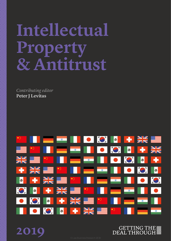# **Intellectual Property & Antitrust**

*Contributing editor* **Peter J Levitas**

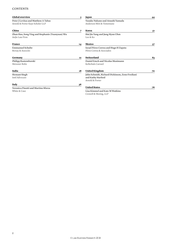#### **CONTENTS**

| <b>Global overview</b>                                                  | 5                                                                               | Japan                                                                                  | 44 |
|-------------------------------------------------------------------------|---------------------------------------------------------------------------------|----------------------------------------------------------------------------------------|----|
| Peter J Levitas and Matthew A Tabas<br>Arnold & Porter Kaye Scholer LLP |                                                                                 | <b>Yusuke Nakano and Atsushi Yamada</b><br>Anderson Möri & Tomotsune                   |    |
| China                                                                   | 7                                                                               | Korea                                                                                  | 51 |
| Zhan Hao, Song Ying and Stephanie (Yuanyuan) Wu<br>AnJie Law Firm       |                                                                                 | Hui Jin Yang and Jung Hyun Uhm<br>Lee & Ko                                             |    |
| France                                                                  | 14                                                                              | Mexico                                                                                 | 57 |
| <b>Emmanuel Schulte</b><br>Bersay & Associés                            |                                                                                 | Israel Pérez Correa and Hugo H Zapata<br>Pérez Correa & Asociados                      |    |
| Germany                                                                 | 22                                                                              | Switzerland                                                                            | 63 |
| Philipp Rastemborski<br>Meissner Bolte                                  |                                                                                 | Daniel Emch and Nicolas Mosimann<br>Kellerhals Carrard                                 |    |
| India                                                                   | 28                                                                              | <b>United Kingdom</b>                                                                  | 70 |
| <b>Hemant Singh</b><br>Inttl Advocare                                   |                                                                                 | John Schmidt, Richard Dickinson, Zeno Frediani<br>and Kathy Harford<br>Arnold & Porter |    |
| Italy                                                                   |                                                                                 |                                                                                        |    |
| Veronica Pinotti and Martino Sforza<br>White & Case                     | <b>United States</b><br>Lisa Kimmel and Kate M Watkins<br>Crowell & Moring, LLP | 76                                                                                     |    |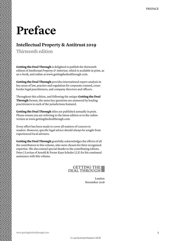## **Preface**

### **Intellectual Property & Antitrust 2019**

Thirteenth edition

**Getting the Deal Through** is delighted to publish the thirteenth edition of *Intellectual Property & Antitrust*, which is available in print, as an e-book, and online at www.gettingthedealthrough.com.

**Getting the Deal Through** provides international expert analysis in key areas of law, practice and regulation for corporate counsel, crossborder legal practitioners, and company directors and officers.

Throughout this edition, and following the unique **Getting the Deal Through** format, the same key questions are answered by leading practitioners in each of the jurisdictions featured.

**Getting the Deal Through** titles are published annually in print. Please ensure you are referring to the latest edition or to the online version at www.gettingthedealthrough.com.

Every effort has been made to cover all matters of concern to readers. However, specific legal advice should always be sought from experienced local advisers.

**Getting the Deal Through** gratefully acknowledges the efforts of all the contributors to this volume, who were chosen for their recognised expertise. We also extend special thanks to the contributing editors, Peter J Levitas of Arnold & Porter Kaye Scholer LLP, for his continued assistance with this volume.

### GETTING THE

London November 2018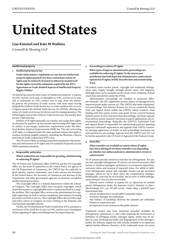# **United States**

#### **Lisa Kimmel and Kate M Watkins**

**Crowell & Moring LLP**

#### **Intellectual property**

**1 Intellectual property law**

**Under what statutes, regulations or case law are intellectual property rights granted? Are there restrictions on how IP rights may be enforced, licensed or otherwise transferred? Do the rights exceed the minimum required by the WTO Agreement on Trade-Related Aspects of Intellectual Property Rights (TRIPs)?**

US federal law governs three types of intellectual property: 1) patents (35 USC, section 101 et seq), 2) copyrights (17 USC, section 101 et seq), and 3) trademarks (15 USC, section 1051 et seq). State law primarily governs the protection of trade secrets, with most states having adopted the Uniform Trade Secrets Act, or some variation of it. In 2016, Congress passed the Defend Trade Secrets Act (DTSA), allowing the owner of a trade secret to sue in federal court for misappropriation. The DTSA largely mirrors the Uniform Trade Secrets Act, but notably does not pre-empt state law.

Holders of IP rights generally can transfer and assign their rights. As discussed in question 19, the transfer and licensing of IP rights may be subject to pre-merger notification requirements under the Hart-Scott-Rodino Antitrust Improvements (HSR) Act. The sale or licensing of IP rights is evaluated under the same antitrust statutes that apply to conduct involving tangible property, including the Sherman, Clayton and Federal Trade Commission (FTC) Acts.

The US views TRIPs as setting a minimum standard for the protection and enforcement of IP rights and US standards frequently exceed TRIPs minimum standards.

#### **2 Responsible authorities**

#### **Which authorities are responsible for granting, administering or enforcing IP rights?**

The US Patent and Trademark Office (USPTO) and the US Copyright Office are the main IP authorities in the United States. An agency of the US Department of Commerce, the USPTO has the authority to grant patents, register trademarks, and it also advises the President of the United States, the Secretary of Commerce and bureaus of the Department, and other government agencies on domestic and global intellectual property issues.

The Copyright Office is a federal department within the Library of Congress. The Copyright Office does not grant copyrights, which attach the moment a copyrightable work is created and fixed in a tangible medium. The Copyright Office serves as the administrator for copyright registration as well as various compulsory and statutory licensing provisions set forth in the Act. The Copyright Office also provides legal and policy advice to Congress on issues relating to the domestic and international copyright systems.

Finally, the US International Trade Commission (ITC), pursuant to section 337 of the Tariff Act of 1930 (19 USC, section 1337), investigates claims regarding IP rights and infringement by imported goods.

#### **3 Proceedings to enforce IP rights**

**What types of legal or administrative proceedings are available for enforcing IP rights? To the extent your jurisdiction has both legal and administrative enforcement options for IP rights, briefly describe their interrelationship, if any.**

US federal courts resolve patent, copyright and trademark infringement suits, largely brought through private party civil litigation. Although state courts normally resolve trade secret violations, federal courts have jurisdiction under the DTSA.

Administrative proceedings are handled in numerous different tribunals. The ITC adjudicates private claims of infringement by imported goods under section 337. The USPTO also holds administrative proceedings. The America Invents Act of 2011 created the Patent Trial and Appeal Board within the USPTO, which conducts trials dealing with inter partes review, post grant review, covered business method patent reviews and derivation proceedings, and hears appeals from adverse patent examiner decisions in patent applications and reexamination proceedings. Relatedly, the USPTO's Trademark Trial and Appeal Board is responsible for adjudicating petitions opposing proposed trademark registrations and appeals from USPTO examiners denying registration of marks, as well as handling concurrent use and interference proceedings. Appeals from the USPTO and ITC can be further appealed to the US Court of Appeals for the Federal Circuit.

#### **4 Remedies**

#### **What remedies are available to a party whose IP rights have been infringed? Do these remedies vary depending on whether one utilises judicial or administrative review or enforcement?**

US IP statutes provide numerous remedies for infringement. For patent and copyright infringement, IP owners can receive monetary relief (actual or statutory damages), preliminary or permanent injunctions, exclusion orders and seizures of imported items. For wilful or deliberate infringement, patent and copyright owners can get increased damages, which are up to three times the compensatory damages. Additionally, costs may be recoverable, and in cases of wilful infringement attorneys' fees are also recoverable.

Federal courts evaluate a request for an injunction to remedy patent infringement under the Supreme Court's decision in *eBay v MercExchange LLC*, 547 US 388 (2006). Under *eBay*, a plaintiff must demonstrate that:

- absent an injunction it would suffer irreparable injury;
- monetary damages are inadequate;
- that balance of hardships between the plaintiff and defendant favours an injunction; and
- an injunction is not contrary to the public interest.

Trademark owners also have numerous remedies available for infringement: injunctions, a court order requiring the destruction or forfeiture of infringing articles, damages (again, which may be trebled in cases involving bad faith) and disgorgement of the infringer's profits. For dilution, largely the only remedy available is an injunction against further dilution. However, if the trademark owner can prove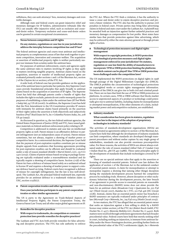wilfulness, they can seek attorneys' fees, monetary damages and even treble damages.

Although state and federal courts can grant injunctive relief and monetary damages for IP holders, administrative tribunals (like the ITC) can usually offer injunctive relief, such as exclusion and ceaseand-desist orders. Temporary exclusion and cease-and-desist orders can be granted in certain exceptional circumstances.

#### **5 Nexus between competition and IP rights**

#### **Do any statutes, regulations or case law in your jurisdiction address the interplay between competition law and IP law?**

The federal antitrust agencies and courts treat antitrust and intellectual property as complementary areas of law that work together to promote competition, innovation and consumer welfare. The acquisition or assertion of intellectual property rights is neither particularly suspect nor immune from scrutiny under the antitrust laws.

For purposes of antitrust enforcement, courts and agencies apply the same antitrust rules to matters involving IP rights as they apply to matters involving tangible property. Antitrust claims based on the acquisition, assertion or transfer of intellectual property rights are evaluated primarily under sections 1 and 2 of the Sherman Act, section 7 of the Clayton Act or section 5 of the FTC Act.

A wide body of federal case law provides guidance on the application of the antitrust laws to particular fact patterns. Key Supreme Court cases provide foundational principles that apply broadly to antitrust claims based on the acquisition or assertion of IP rights. The Supreme Court has held that although patents confer a bundle of rights that includes the right to exclude, patents do not confer monopoly power for purposes of establishing a claim under the antitrust laws (*Ill Tool Works v Indep Ink*, 547 US 28 (2006)). In addition, the Supreme Court has held that the First Amendment to the US Constitution provides IP owners with immunity for antitrust claims based primarily on the assertion of their rights unless the assertion is both objectively and subjectively baseless (*Prof 'l Real Estate Inv'rs, Inc v Columbia Pictures Indus, Inc*, 508 US 49 (1993)).

As discussed in question 14, the two federal antitrust agencies, the United States Department of Justice (DOJ) and FTC, have issued guidance materials on federal antitrust enforcement policy relating to IP.

Competition is addressed in statutes and case law on intellectual property rights as well. Patent misuse is an affirmative defence to patent infringement (not an independent cause of action). Patent misuse sometimes, but not always, requires a showing of market power or competitive harm. In a controversial decision, the Supreme Court held that the payment of post-expiration royalties constitute per se misuse despite appeals from academics that licensing agreements providing for post-expiration royalties can be efficient and should be evaluated under a rule of reason standard (*Kimble v Marvel Entm't, LLC*, 135 S Ct 2401 (2015)). Claims of patent misuse based on tying or package licensing are typically evaluated under a reasonableness standard and do typically require a showing of competitive harm. Section 271(d) of the Patent Act bars a defence of misuse based solely on a unilateral refusal to license IP and requires a showing of market power to support a misuse defence based on tying. Federal courts have recognised a defence of misuse for copyright infringement, but the law is less well-developed. The Lanham Act, the principal federal trademark law, expressly provides for an antitrust defence to a trademark violation claim: 15 USC, section 1115(b)(7).

#### **6 Patent cooperation treaties and other agreements**

#### **Does your jurisdiction participate in any patent cooperation treaties or other similar agreements?**

The US is party to the Agreement on Trade-Related Aspects of Intellectual Property Rights, the Patent Cooperation Treaty, the Geneva Patent Law Treaty and all other major global agreements on IP.

#### **7 Remedies for deceptive practices**

#### **With respect to trademarks, do competition or consumer protection laws provide remedies for deceptive practices?**

The Lanham and FTC Acts both provide remedies for false advertising and deceptive practices. The FTC has sole authority to enforce the FTC Act. Where the FTC finds a violation, it has the authority to issue a cease and desist order to enjoin deceptive practices and prevent a future violation. The FTC also has the authority to pursue civil penalties in federal court. Private parties may bring false advertising claims in federal and state court under the Lanham Act. A plaintiff may be awarded both an injunction against further unlawful practices and monetary damages as compensation for lost profits. Most states have similar laws that provide protection against false advertising, which may be enforced by either the state attorney general or through private rights of action.

#### **8 Technological protection measures and digital rights management**

**With respect to copyright protection, is WIPO protection of technological protection measures and digital rights management enforced in your jurisdiction? Do statutes, regulation or case law limit the ability of manufacturers to incorporate TPM or DRM protection limiting the platforms on which content can be played? Has TPM or DRM protection been challenged under the competition laws?**

The US implemented the WIPO protections on digital rights in 1998 through passage of the Digital Millennium Copyright Act (DMCA). The DMCA prohibits the circumvention of technological protections on copyrighted works or certain rights management information. Violations of the DMCA can give rise to both civil and criminal penalties. There are no laws that limit the use of TPM or DRM protection on platforms. In certain cases, TPM or DRM software that blocks market access to unprotected aspects of a product or technology could potentially give rise to antitrust liability, including claims for monopolisation or attempted monopolisation, if the other elements of a claim, including market power and anticompetitive exclusion, are established.

#### **9 Industry standards**

#### **What consideration has been given in statutes, regulation or case law to the impact of the adoption of proprietary technologies in industry standards?**

The activities of standards-development organisations (SDOs) are typically treated as agreements subject to section 1 of the Sherman Act. Courts have held that although the development of industry standards can limit competition, where standards are developed through transparent procedures and without undue capture by any single group of stakeholders, standards can also provide enormous procompetitive value. For those reasons, the activities of SDOs are almost always evaluated under the rule of reason standard (*Allied Tube & Conduit Corp v Indian Head Inc*, 486 US 492 (1988)). These same principles apply to the development of standards that include technologies covered by IP rights.

There are no special antitrust rules that apply to the assertion or licensing of standard-essential patents. Federal case law defines the application of section 2 of the Sherman Act to the unilateral conduct of essential patent owners. A claim for monopolisation or attempt to monopolise requires a showing that (among other things) deception during the standards-development process harmed the competitive process by excluding rivals. However, absent deception or other exclusionary behaviour during the development process, the later breach of an agreement to provide access to essential patents on reasonable and non-discriminatory (RAND) terms does not alone provide the basis for an antitrust claim (*Broadcom Corp v Qualcomm Inc*, 501 F3d 297 (Third Circuit 2007), *Rambus Inc v FTC*, 522 F3d 456 (DC Circuit 2018)). Instead, claims that an essential patent owner has breached a RAND assurance are typically evaluated under principles of contract law (*Microsoft Corp v Motorola, Inc*, 795 F3d 1024 (Ninth Circuit 2015)).

In two matters, the FTC has alleged that an essential patent owner that seeks an injunction against a firm willing to abide by a RAND licence may violate section 5 of the FTC Act (*Robert Bosch GmbH*, FTC Docket No. C-4377, *Motorola Mobility LLC*, Docket No. C-4410). Both matters were resolved through settlement agreements that lack broader precedential value. Federal courts have held that merely seeking relief in court, including seeking an injunction, is immune from antitrust liability under the Noerr-Pennington doctrine, providing further limits on the precedential value of the FTC's settlements (*Apple, Inc v Motorola*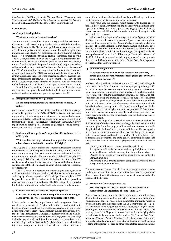*Mobility, Inc*, 886 F Supp 2d 1061 (Western District Wisconsin 2012), *TCL Commc'ns Tech Holdings, Ltd v Telefonaktienbolaget LM Ericsson*, 2016 US Dist LEXIS 140566 (Central District California 2016)).

#### **Competition**

#### **10 Competition legislation**

#### **What statutes set out competition law?**

The Sherman Act, passed by Congress in 1890, and the FTC Act and Clayton Act, both passed in 1914, are the three core US federal antitrust laws in effect today. The Sherman Act prohibits unreasonable restraints of trade, monopolisation, attempts to monopolise and conspiracies to monopolise. The Clayton Act prohibits acquisitions that may substantially lessen competition, as well as certain other issues such as tying. The FTC Act, enforced solely by the FTC, prohibits unfair methods of competition as well as unfair or deceptive acts and practices. Though the FTC's authority to challenge unfair methods of competition technically reaches beyond the letter of the Sherman Act, the precise scope of the FTC's 'unfair methods of competition' authority has been a subject of some controversy. The FTC has most often used its antitrust authority that falls outside the scope of the Sherman and Clayton Acts to challenge invitations to collude, where no agreement forms. Beyond that, the FTC typically pursues claims for an unfair method of competition under the same standards federal courts apply to Sherman Act claims.

In addition to these federal statutes, most states have their own antitrust statutes – generally modelled after the federal antitrust laws – enforced by the state attorneys general or private plaintiffs.

#### **11 IP rights in competition legislation**

#### **Do the competition laws make specific mention of any IP rights?**

US antitrust statutes do not specifically mention IP rights. However, as discussed in question 14, the DOJ and FTC have issued antitrust licensing guidelines (first in 1995, and most recently in 2017) and other guidance materials that outline the agencies' antitrust enforcement policy towards the licensing of intellectual property and other conduct involving IP such as patent pools, bundled or package licensing arrangements, and unilateral refusals to deal.

#### **12 Review and investigation of competitive effects from exercise of IP rights**

#### **Which authorities may review or investigate the competitive effect of conduct related to exercise of IP rights?**

The DOJ and FTC jointly enforce the federal antitrust laws. However, the Sherman Act only empowers the DOJ to bring criminal enforcement actions – though the FTC can refer matters to the DOJ for criminal enforcement. Additionally, under section 5 of the FTC Act, the FTC may bring civil challenges to conduct that violates section 5 of the FTC Act (which includes authority over claims that could be brought under sections 1 or 2 of the Sherman Act) either in administrative proceedings or federal court.

The FTC and DOJ's coordination is loosely governed by an informal memorandum of understanding, which distributes enforcement authority by industry expertise and knowledge. For example, the FTC is typically responsible for industries including healthcare providers, pharmaceuticals, and food and retail. The DOJ is typically responsible for the telecommunication and agricultural industries, and insurance.

#### **13 Competition-related remedies for private parties**

#### **Can a private party recover for competition-related damages caused by the exercise, licensing or transfer of IP rights?**

Private parties recover for competition-related damages from the exercise, license or transfer of IP rights under either federal or state antitrust law. Under federal law, the Clayton Act creates a private right of action for parties to recover damages from injuries flowing from a violation of the antitrust laws. Damages are typically trebled and plaintiffs may also recover court costs and attorneys' fees (15 USC, section 15(a)). Plaintiffs may also win an injunction requiring the defendant to end the offending conduct. To win relief, a plaintiff must establish antitrust injury, which requires that it suffered harm because of the restriction in

competition that forms the basis for the violation. The alleged anticompetitive conduct must proximately cause the injury.

Forty years ago, the Supreme Court barred, with limited exceptions, indirect purchasers from seeking and recovering antitrust damages (*Illinois Brick Co v Illinois*, 431 US 720 (1977)). Over half of US states have enacted 'Illinois Brick repealer' statutes allowing for indirect purchasers to recover.

In June 2018, the Supreme Court agreed to hear Apple's appeal of the Ninth Circuit's decision in *Apple, Inc v Pepper*, a case with implications for the continuing force of *Illinois Brick*, particularly in platform markets. The Ninth Circuit held that because Apple sold iPhone apps directly to consumers, Apple should be treated as a distributor and consumers as direct purchasers with standing to sue Apple for alleged monopolisation of the market for iPhone apps. The Solicitor General of the United States filed an amicus brief urging reversal on the grounds that the Ninth Circuit has misinterpreted *Illinois Brick*. Oral argument is scheduled for 26 November 2018.

#### **14 Competition guidelines**

#### **Have the competition authorities, or any other authority, issued guidelines or other statements regarding the overlap of competition law and IP?**

As discussed in questions 5 and 11, DOJ and FTC have issued joint guidance materials on federal antitrust enforcement policy relating to IP. In 2007, the agencies issued a report outlining agency enforcement policy on a range of competition issues involving IP, including unilateral refusals to license, the incorporation of patents into standards, patent pools and tying and bundling IP rights. For purposes of antitrust analysis, the agencies distinguished unconditional from conditional refusals to license. Under US enforcement policy, unconditional unilateral refusals to license patents 'will not play a meaningful part in the interface between patent rights and antitrust protections'. Conditional refusals to license, such as a licence that includes exclusivity provisions, may raise antitrust concerns if restrictions in the licence lead to competitive harm.

In 2017, the DOJ and FTC issued updated Antitrust Guidelines for the Licensing of Intellectual Property. The guidelines incorporate the core principles from the 1995 guidelines and remain consistent with the principles in the broader 2007 Antitrust IP Report. The 2017 guidelines cover the antitrust treatment of licences involving patents, copyrights or trade secrets. Although the guidelines do not apply expressly to trademark agreements, 'the same general antitrust principles that apply to other forms of intellectual property apply to trademarks as well'.

The 2017 guidelines incorporate several key principles:

- the agencies will apply the same antitrust principles to conduct involving IP as to conduct involving other forms of property;
- IP rights do not create a presumption of market power under the antitrust laws; and
- IP licensing allows firms to combine complementary assets and is thus generally procompetitive.

The vast majority of restrictions in licensing arrangements are evaluated under the rule of reason and are not likely to harm competition if the restriction does not limit competition that would have existed in the absence of the licence.

#### **15 Exemptions from competition law**

#### **Are there aspects or uses of IP rights that are specifically exempt from the application of competition law?**

Courts have developed a number of exemptions and immunities from the antitrust laws, such as the state action doctrine or solicitation of government action, known as Noerr-Pennington immunity, which is grounded in the First Amendment to the US Constitution. These general exemptions apply equally to conduct involving IP rights. Noerr-Pennington immunity protects IP owners from antitrust liability for seeking relief for infringement in court unless the underlying claim is both objectively and subjectively baseless (*Professional Real Estate Investors v Columbia Pictures Industries*, 508 US 49 (1993)). Petitioning immunity extends to conduct associated with seeking relief, such as sending infringement notices or other marketplace communications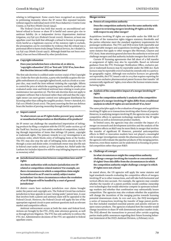relating to infringement. Some courts have recognised an exception to petitioning immunity where the IP owner files repeated lawsuits without regard to individual merit (*USS-Posco Industries v Contra Costa County*, 31 F3d 800 (Ninth Circuit 1994)).

The Federal Circuit has held that merely an unconditional unilateral refusal to license or share IP is lawful and cannot give rise to antitrust liability (*In re Independent Service Organizations Antitrust Litigation*, 203 F3d 1322 (Federal Circuit 2000)). However, at least one appellate court has held that although a refusal to license is presumptively lawful as a legitimate exercise of the statutory right to exclude, the presumption can be overridden by evidence that the refusal was a pretextual effort to harm rivals (*Image Technical Services, Inc v Kodak Co*, 125 F3d 1195 (Ninth Circuit 1997)). Although *Kodak* has not been overruled, it has not been followed by other jurisdictions.

#### **16 Copyright exhaustion**

#### **Does your jurisdiction have a doctrine of, or akin to, 'copyright exhaustion' (EU) or 'first sale' (US)? If so, how does that doctrine interact with competition laws?**

The first sale doctrine is codified under section 109(a) of the Copyright Act. Under the first sale doctrine, a party who lawfully acquires the tangible embodiment of a copyright righted work, such as a book or a compact disc, may resell the item without violating the copyright. Efforts to control the price at which the acquiring party resells the product are evaluated under state and federal antitrust laws relating to resale price maintenance (see question 25). The first sale doctrine does not apply to computer software that is licensed rather than sold and thus the copyright owner can exert greater control over subsequent distribution by licensing rather than selling the tangible product. *Vernor v Autodesk*, 621 F3d 1102 (Ninth Circuit 2010). The party asserting the first use defence bears the burden of proving ownership through lawful acquisition.

#### **17 Import control**

#### **To what extent can an IP rights holder prevent 'grey-market' or unauthorised importation or distribution of its products?**

An IP owner can challenge the unauthorised importation of infringing products by filing a complaint with the US ITC under section 337 of the Tariff Act. Section 337 bars unfair methods of competition, including through importation of items that infringe US patent, copyright or trademark rights. The primary remedy in a 337 investigation is an exclusion order, which blocks entry of infringing items at the border. The ITC may also stop the sale of infringing items already in the US through a cease and desist order. A trademark owner may also file suit in federal court under section 42 of the Lanham Act. Relief under the Lanham Act includes injunctive relief to stop infringing imports as well as monetary relief.

#### **18 Jurisdictional interaction between competition laws and IP rights**

**Are there authorities with exclusive jurisdiction over IPrelated or competition-related matters? For example, are there circumstances in which a competition claim might be transferred to an IP court to satisfy subject matter jurisdiction? Are there circumstances where the resolution of an IP dispute will be handled by a court of general jurisdiction?** 

US district courts have exclusive jurisdiction over claims brought under the patent and copyright acts. The Federal Circuit has exclusive jurisdiction to hear appeals in cases 'arising under' patent laws. A case that involves both a patent and antitrust claim will be appealed to the Federal Circuit. However, the Federal Circuit will apply the law of the appropriate regional circuit to pure antitrust questions such as relevant market and competitive effects.

Antitrust enforcement occurs at both the state and federal level. Actions are brought by the FTC, DOJ, state attorneys general, as well as through private litigation. The FTC has sole authority to enforce the FTC Act. Administrative decisions of the FTC are appealed to federal appellate courts.

#### **Merger review**

#### **19 Powers of competition authority**

#### **Does the competition authority have the same authority with respect to reviewing mergers involving IP rights as it does with respect to any other merger?**

Acquisitions involving IP rights are reportable under the HSR Act if the value of the transaction rights triggers statutory thresholds and the parties otherwise meet the standard regulatory requirements for premerger notification. The FTC and DOJ review both reportable and non-reportable mergers and acquisitions involving IP rights under the same statutes that apply to other mergers (the Sherman, Clayton and FTC Acts). State attorneys general also have the authority to review and challenge mergers and that authority includes mergers that involve IP.

Certain IP licensing agreements that fall short of a full transfer or assignment of rights may also be reportable. Based on informal guidance from the FTC Premerger Notification Office, exclusive patent or trademark licences may be reportable under the HSR Act. Such licences may be reportable even if exclusivity extends only to a particular geographic region. Although non-exclusive licences are generally not reportable, the FTC issued a rule in 2013 that requires reporting for certain non-exclusive pharmaceutical patent licences that transfer 'all commercially significant' rights, even where the licensor retains manufacturing rights.

#### **20 Analysis of the competitive impact of a merger involving IP rights**

#### **Does the competition authority's analysis of the competitive impact of a merger involving IP rights differ from a traditional analysis in which IP rights are not involved? If so, how?**

The same principles apply to the evaluation of mergers and acquisitions involving IP rights as to transactions involving other forms of property. However, in analysing mergers involving IP, the agencies may consider competitive effects in upstream technology markets for the IP rights themselves as well as downstream product markets.

In limited cases, the agencies may also consider the impact of a merger on research and development activities and the analysis of the competitive effects on R&D may be more likely in merger that involves the transfer of significant IP. However, potential anticompetitive effects in R&D or innovation markets have not played a meaningful role in merger investigations outside the pharmaceutical sector, where the agencies will evaluate the pipeline products of the merging parties. However, even those matters can be understood as focusing on potential competition rather than pure R&D.

#### **21 Challenge of a merger**

**In what circumstances might the competition authority challenge a merger involving the transfer or concentration of IP rights? Does this differ from the circumstances in which the competition authority might challenge a merger in which IP rights were not a focus?**

As stated above, the US agencies will apply the same statutes and legal standards towards evaluating the competitive effects of mergers involving IP as to other transactions, and will take both horizontal and vertical effects into account. For example, the agencies may consider whether the transfer of a patent portfolio would combine ownership over technologies that would otherwise compete in upstream technology markets and whether that combination may substantially lessen competition. The agencies may also evaluate whether the acquisition will change the incentives of the merging parties towards licensing potential downstream rivals. In 2011 and 2012, the DOJ investigated a series of transactions involving the transfer of large patent portfolios that included standard-essential patents and patents relevant to open-source products. The agencies evaluated how the transfer would change incentives to share IP with downstream product market rivals. The DOJ allowed the transactions to proceed after certain acquiring parties made public assurances regarding their future licensing behaviour (statement of the DOJ's Antitrust Division, 13 February 2012).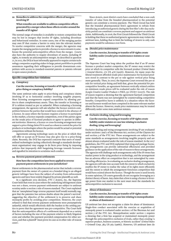#### **22 Remedies to address the competitive effects of mergers involving IP**

#### **What remedies are available to address competitive effects generated by a merger when those effects revolve around the transfer of IP rights?**

The normal range of remedies is available to restore competition that may be lost in mergers that involve IP rights, including divestiture and behavioural remedies. In some cases, one of the merging parties may own IP that creates a barrier to entry into the relevant market. To resolve competitive concerns with the merger, the agencies may require the merging parties to provide a licence to new entrants to ameliorate the potential anticompetitive effects from the merger. Courts also have the authority to require divestiture of assets, including IP rights, to remedy an anticompetitive merger. As described in question 21, in 2012, the DOJ at least informally appeared to require certain technology companies acquiring stakes in large patent portfolios to provide assurances regarding their willingness to provide downstream competitors with access to standard-essential patents or patents relevant to open-source products.

#### **Specific competition law violations**

#### **23 Conspiracy**

#### **Can the exercise, licensing or transfer of IP rights create price-fixing or conspiracy liability?**

The same antitrust rules apply to price-fixing and conspiracy claims involving IP as to horizontal conduct involving tangible property. Most licensing arrangements expand competition by allowing parties to share complementary assets. Thus, the transfer or licensing or IP is seldom treated as per se unlawful. When evaluating a licensing arrangement, the agencies will ask whether the licence restricts competition between the parties that would have existed in the absence of a licence. In cases where the licensee requires a licence to participate in the market, a licence expands competition, even if the parties agree on the resale price of licensed products or agree to operate in different territories. However, a licence or cross-licensing arrangement may support a price-fixing claim if it is used as a sham to control the price for products or technologies where the parties would be actual or potential competitors without the licence.

Agreements among technology users on the price at which they will offer or accept an IP licence may also give rise to a price-fixing claim. Recently, the DOJ has expressed concerns that users of standardised technologies (acting collectively through a standards development organisation) may engage in de facto price fixing by imposing policies that improperly shift bargaining leverage towards licensees and signalled its intention to scrutinise such conduct.

#### **24 Reverse payment patent settlements**

#### **How have the competition laws been applied to reverse payment patent settlements in your jurisdiction?**

Patent settlements in the pharmaceutical sector that include a reverse payment from the owner of a patent on a branded drug to an alleged generic infringer have been the subject of scrutiny from enforcement agencies and have been widely litigated by private plaintiffs as well.

In a significant 2013 decision, *FTC v Actavis, Inc*, the Supreme Court held that even in cases where the underlying infringement claim was not a sham, reverse payment settlements are subject to antitrust scrutiny under a section 1 rule of reason standard. The Court explained that an 'unexplained large reverse payment itself would normally suggest that the patentee has serious doubts about the patent's survival', suggesting the objective of the settlement is to preserve and share monopoly profits by avoiding price competition. However, the court refused to find that reverse payment settlements were presumptively unlawful, which would effectively shift the burden to the settling parties to prove that the agreement was pro-competitive. The Court held that the anticompetitive effects of a settlement depended on a variety of factors including the size of the payment relative to likely litigation costs and whether the payment provided compensation for other services, and that a plaintiff 'must prove its case as in other rule-of-reason cases'.

Since *Actavis*, most district courts have concluded that a non-cash transfer of value from the branded pharmaceutical to the potential generic can constitute a reverse payment. The Third Circuit has held that the branded pharmaceutical firm's agreement to refrain from introducing an authorised generic during the first-filer's 180-day exclusivity period can constitute a reverse payment and support an antitrust claim. Additionally, in 2016, the First Circuit followed the Third Circuit in holding that these no authorised generic agreements may violate the antitrust laws, holding that to limit the holding of *Actavis* to only cash payments would be substance over form.

#### **25 (Resale) price maintenance**

#### **Can the exercise, licensing or transfer of IP rights create liability under (resale) price maintenance statutes or case law?**

The Supreme Court has long taken the position that if an IP owner licenses a product market competitor, the IP owner may restrict the price at which its competitor sells the licensed product (*United States v General Electric*, 272 US 476 (1926)). However, for many years the liberal treatment afforded resale price maintenance for licensed products stood in contrast to the per se rule against vertical price fixing more generally. Then, in 2007, the Supreme Court reversed the per se rule for vertical price fixing and held that, given the potential for procompetitive benefits, an agreement between vertically related entities on minimum resale prices will be evaluated under the rule of reason (*Leegin Creative Leather Products v PSKS*, 551 US 877 (2007)). The rule of reason requires a showing that the agreement harmed competition and that the harm was not outweighed by countervailing competitive benefits. Competitive harm is unlikely in a situation where the licensor and licensee would not have competed in the same relevant market absent the licence. However, resale price maintenance may be treated differently under some state antitrust statutes.

#### **26 Exclusive dealing, tying and leveraging**

#### **Can the exercise, licensing or transfer of IP rights create liability under statutes or case law relating to exclusive dealing, tying and leveraging?**

Exclusive dealing and trying arrangements involving IP are evaluated under sections 1 and 2 of the Sherman Act, section 3 of the Clayton Act and section 5 of the FTC Act. These arrangements are subject to the same standards as arrangements involving tangible property and are almost always evaluated under the rule of reason standard. In the 2017 guidelines, the FTC and DOJ explained that tying and package licensing arrangements can provide substantial efficiencies and provided guidance on the application of the rule of reason to these arrangements. The agencies will challenge such arrangements only if the IP owner has market power in the tying product or technology, and the arrangement has an adverse effect on competition that is not outweighed by countervailing efficiencies. In evaluating an exclusive dealing arrangement, the agencies will take into account both the extent to which exclusivity enables the IP owner to realise the value of its rights more efficiently and the extent to which the arrangement forecloses competition that would have existed absent the licence. Though the term is used loosely in some opinions, US courts generally do not recognise leveraging as a distinct theory of harm. Any claim that a firm is using a licence to leverage power from one market to the next must meet the standards for anticompetitive exclusion to succeed.

#### **27 Abuse of dominance**

#### **Can the exercise, licensing or transfer of IP rights create liability under statutes or case law relating to monopolisation or abuse of dominance?**

US antitrust law does not recognise a claim for abuse of dominance. Single-firm conduct associated with the exercise or acquisition of monopoly power is evaluated under section 2 of the Sherman Act and section 5 of the FTC Act. Monopolisation under section 2 requires a showing that a firm has acquired or maintained monopoly power through the anticompetitive exclusion of rivals, rather than creating 'a superior product, business acumen, or historic accident' (*United States v Grinnell Corp*, 384 US 563 (1966)). However, US antitrust laws do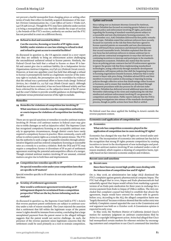not prevent a lawful monopolist from charging prices or setting other terms of trade that reflect its lawfully acquired dominance of the market (*Verizon Communications Inc, v Law Offices of Curtis v Trinko LLP*, 540 US 398 (2004)). Though the FTC may have authority under section 5 to bring a monopolisation case that falls outside the scope of section 2, the bounds of the FTC's section 5 authority are unclear and the FTC has not prevailed in court on a different theory.

#### **28 Refusal to deal and essential facilities**

#### **Can the exercise, licensing or transfer of IP rights create liability under statutes or case law relating to refusal to deal and refusal to grant access to essential facilities?**

As discussed in question 15, the US agencies stated in a 2007 report that they are unlikely to bring an enforcement action challenging the unconditional unilateral refusal to license patents. Similarly, the Federal Circuit has held that a refusal to license or share IP is lawful and cannot give rise to antitrust liability (*In re Independent Service Organizations Antitrust Litigation*, 203 F3d 1322 (Federal Circuit 2000)). However, at least one appellate court has held that although a refusal to license is presumptively lawful as a legitimate exercise of the statutory right to exclude, the presumption can be overridden by evidence that the refusal was a pretextual effort to harm rivals (*Image Technical Services, Inc v Kodak Co*, 125 F3d 1195 (Ninth Circuit 1997)). Although *Kodak* has not been overruled, it has not been followed widely and has been criticised for its reliance on the subjective intent of the IP owner and the court's failure to provide sensible guidance on distinguishing a legitimate versus pretextual exercise of the right to exclude.

#### **Remedies**

#### **29 Remedies for violations of competition law involving IP**

#### **What sanctions or remedies can the competition authorities or courts impose for violations of competition law involving IP?**

There are no special sanctions or remedies to resolve antitrust matters involving IP. Private civil antitrust matters in federal court may give rise to treble damages as well as injunctive relief. The Supreme Court has recognised compulsory licensing as an acceptable antitrust remedy in appropriate circumstances, though district courts have rarely required a compulsory licence in practice. More commonly, courts will refuse to enforce patent rights as a remedy for patent misuse. The FTC has the authority to seek a range of equitable remedies through administrative litigation and has ordered compulsory licensing at reasonable rates as a remedy to a section 5 violation. Both the DOJ and FTC may require a compulsory licence or divestiture of IP as part of settlement agreement resolving the potential anticompetitive effects of a merger. Though criminal antitrust matters involving IP are unusual, criminal matters can give rise to both fines and imprisonment.

#### **30 Competition law remedies specific to IP**

#### **Do special remedies exist under your competition laws that are specific to IP matters?**

Special remedies specific to IP matters do not exist under US competition laws.

#### **31 Scrutiny of settlement agreements**

**How would a settlement agreement terminating an IP infringement dispute be scrutinised from a competition perspective? What are the key factors informing such an analysis?**

As discussed in question 24, the Supreme Court held in *FTC v Actavis* that reverse payment patent settlements are subject to antitrust scrutiny under a rule of reason standard. The Court rejected the assertion that a settlement that fell within the legitimate scope of the patent owner's rights should be immune from scrutiny, concluding that a large unexplained payment from the patent owner to the alleged infringer suggests that the patent would not survive challenge. As such, the presence of the reverse payment raises legitimate concerns that the settlement could be used primarily as a tool to restrain competition.

#### **Update and trends**

Since taking over as Assistant Attorney General for Antitrust, Makan Delrahim has focused on restoring greater balance to competition policy and enforcement involving IP rights, particularly regarding the licensing of standard-essential patents subject to a reasonable and non-discriminatory licensing assurance. On 10 November 2017, AAG Delrahim delivered his first public remarks on the topic. Delrahim stated that antitrust enforcers have recently focused too narrowly on the risk that firms that have agreed to license essential patents on reasonable and non-discriminatory terms will breach those assurances and demand licensing terms that exceed reasonable levels. Delrahim explained that this narrow focus has led antitrust enforcers to misuse antitrust law to police private contractual arrangements in ways that risk harm to continuing incentives to innovate and participate in the standardsdevelopment ecosystem. Delrahim also stated that the narrow focus on policing private contracts has led US enforcement agencies to ignore the greater risk that firms implementing standardised technologies, acting collectively through standards-development organisation, will impose policies that shift the bargaining leverage in licensing negotiations towards licensees, behaviour that is tantamount to buyer-side price fixing. Delrahim advised SDOs and their members to exercise caution in discussing or imposing licensing policies through collective action that disadvantage either licensors or licensees, and to ensure that standards are developed through transparent procedures with due process for all relevant stakeholders. Delrahim has delivered several additional speeches since November elaborating on his views and emphasising the risk that misdirected antitrust enforcement involving IP can generate for competition and innovation. Public reports indicate that the DOJ is pursuing investigations into misuse of the standards-development process, though no public actions have been filed or settled.

No federal court has since applied the holding in *Actavis* outside the reverse-payment context.

#### **Economics and application of competition law**

#### **32 Economics**

#### **What role has competition economics played in the application of competition law in cases involving IP rights?**

Economics has changed the way that IP rights are viewed under antitrust law. The incorporation of economics into antitrust law has led to the recognition that strong IP rights promote competition by creating incentives to invest in the development of new technologies and products. Most antitrust matters involving IP are evaluated under a rule of reason standard, which requires a showing of competitive harm, typically based on fact-intensive economic analysis and evidence.

#### **Recent cases and sanctions**

#### **33 Recent cases**

#### **Have there been any recent high-profile cases dealing with the intersection of competition law and IP rights?**

On 21 May 2018, an administrative law judge (ALJ) dismissed the FTC's complaint against generic pharmaceutical company Impax. The FTC had alleged that in 2010, Impax and Endo pharmaceuticals had unlawfully agreed that Impax would refrain from marketing a generic version of an Endo pain medication for three years in exchange for a reverse payment from Endo to Impax of US\$112 million. The ALJ concluded that complaint counsel had failed to establish that absent the agreement, Impax would have entered the market with its generic before 2013. According to the ALJ, the alleged competitive harm was 'largely theoretical' because evidence showed that the earlier entry was unlikely. Complaint counsel appealed the case to the Commission and oral argument was held on 11 October 2018. A Commission opinion is expected in early 2019.

In May 2016, the Northern District of California denied Cisco's motion for summary judgment on antitrust counterclaims filed by Arista in a copyright infringement action. Arista had alleged that Cisco had monopolised certain markets for ethernet switches by encouraging customers and competitors to use Cisco's command-line interface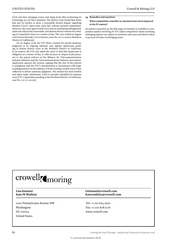(CLI) and later changing course and suing rivals after positioning its technology as a de facto standard. The district court found that Arista had met its burden to show a reasonable factual dispute regarding whether Cisco's 'open early, close late' scheme harmed competition. However, the court agreed with Cisco that its underlying infringement claim was objectively reasonable, and denied Arista's motion for a finding of competitive harm as a matter of law. The case settled in August 2018 (*Arista Networks v Cisco Systems*, Case No. 16-cv-00923 (Northern District of California)).

On 30 August 2018, the FTC filed a motion for partial summary judgment in its ongoing antitrust case against Qualcomm pending in federal district court in the Northern District of California. In its motion, the FTC has asked the court to find that Qualcomm is obligated, as a matter of law, to offer licences to chipset rivals pursuant to the patent policies of the Alliance for Telecommunications Industry Solutions and the Telecommunications Industry Association. Qualcomm opposes the motion, arguing that the text of the policies is ambiguous and the FTC's interpretation is inconsistent with longstanding practices in the industry, at least creating a triable issue of fact sufficient to defeat summary judgment. The motion has been briefed and taken under submission. Trial is currently scheduled for January 2019 (*FTC v Qualcomm*, pending in the Northern District of California, case No. 5:17-cv-00220).

#### **34 Remedies and sanctions**

#### **What competition remedies or sanctions have been imposed in the IP context?**

As stated in question 29, the full range of remedies is available in competition matters involving IP. ITC unfair competition claims involving infringing imports are subject to exclusion and cease and desist orders to prevent US sales of infringing items.

## crowell<sub>(moring</sub>

1001 Pennsylvania Avenue NW Washington DC 20004 United States

#### **Lisa Kimmel LKimmel@crowell.com Kate M Watkins Katewatkins@crowell.com**

Tel: +1 202 624 2500 Fax: +1 202 628 5116 www.crowell.com